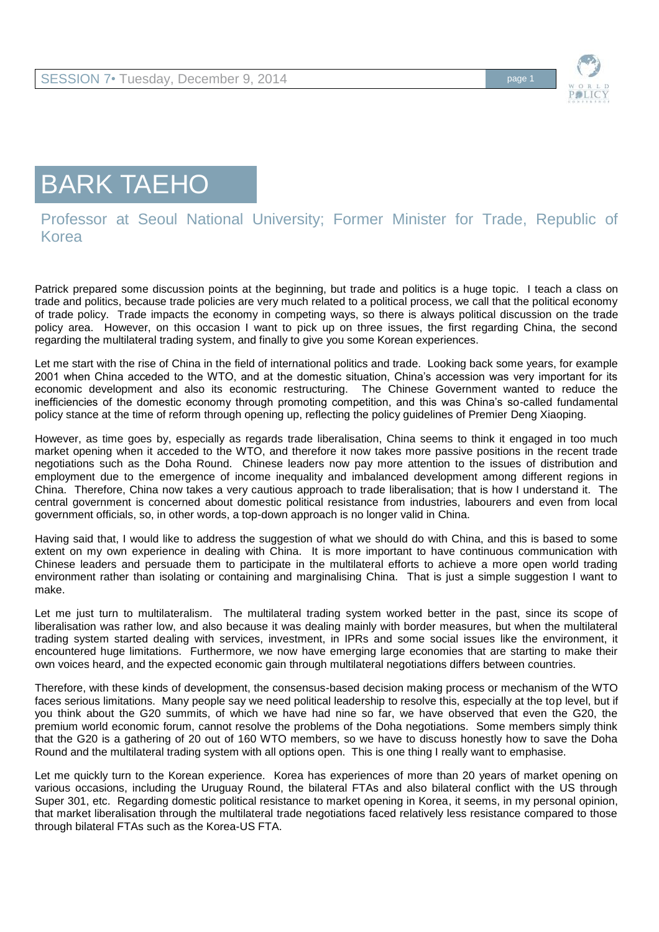

## BARK TAEHO

## Professor at Seoul National University; Former Minister for Trade, Republic of Korea

Patrick prepared some discussion points at the beginning, but trade and politics is a huge topic. I teach a class on trade and politics, because trade policies are very much related to a political process, we call that the political economy of trade policy. Trade impacts the economy in competing ways, so there is always political discussion on the trade policy area. However, on this occasion I want to pick up on three issues, the first regarding China, the second regarding the multilateral trading system, and finally to give you some Korean experiences.

Let me start with the rise of China in the field of international politics and trade. Looking back some years, for example 2001 when China acceded to the WTO, and at the domestic situation, China's accession was very important for its economic development and also its economic restructuring. The Chinese Government wanted to reduce the inefficiencies of the domestic economy through promoting competition, and this was China's so-called fundamental policy stance at the time of reform through opening up, reflecting the policy guidelines of Premier Deng Xiaoping.

However, as time goes by, especially as regards trade liberalisation, China seems to think it engaged in too much market opening when it acceded to the WTO, and therefore it now takes more passive positions in the recent trade negotiations such as the Doha Round. Chinese leaders now pay more attention to the issues of distribution and employment due to the emergence of income inequality and imbalanced development among different regions in China. Therefore, China now takes a very cautious approach to trade liberalisation; that is how I understand it. The central government is concerned about domestic political resistance from industries, labourers and even from local government officials, so, in other words, a top-down approach is no longer valid in China.

Having said that, I would like to address the suggestion of what we should do with China, and this is based to some extent on my own experience in dealing with China. It is more important to have continuous communication with Chinese leaders and persuade them to participate in the multilateral efforts to achieve a more open world trading environment rather than isolating or containing and marginalising China. That is just a simple suggestion I want to make.

Let me just turn to multilateralism. The multilateral trading system worked better in the past, since its scope of liberalisation was rather low, and also because it was dealing mainly with border measures, but when the multilateral trading system started dealing with services, investment, in IPRs and some social issues like the environment, it encountered huge limitations. Furthermore, we now have emerging large economies that are starting to make their own voices heard, and the expected economic gain through multilateral negotiations differs between countries.

Therefore, with these kinds of development, the consensus-based decision making process or mechanism of the WTO faces serious limitations. Many people say we need political leadership to resolve this, especially at the top level, but if you think about the G20 summits, of which we have had nine so far, we have observed that even the G20, the premium world economic forum, cannot resolve the problems of the Doha negotiations. Some members simply think that the G20 is a gathering of 20 out of 160 WTO members, so we have to discuss honestly how to save the Doha Round and the multilateral trading system with all options open. This is one thing I really want to emphasise.

Let me quickly turn to the Korean experience. Korea has experiences of more than 20 years of market opening on various occasions, including the Uruguay Round, the bilateral FTAs and also bilateral conflict with the US through Super 301, etc. Regarding domestic political resistance to market opening in Korea, it seems, in my personal opinion, that market liberalisation through the multilateral trade negotiations faced relatively less resistance compared to those through bilateral FTAs such as the Korea-US FTA.